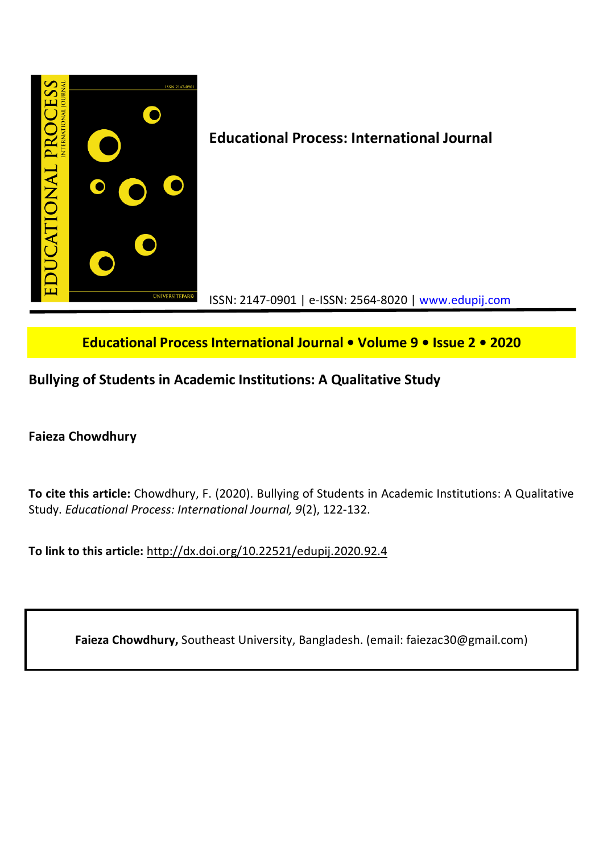

# **Educational Process International Journal • Volume 9 • Issue 2 • 2020**

# **Bullying of Students in Academic Institutions: A Qualitative Study**

## **Faieza Chowdhury**

**To cite this article:** Chowdhury, F. (2020). Bullying of Students in Academic Institutions: A Qualitative Study. *Educational Process: International Journal, 9*(2), 122-132.

**To link to this article:** http://dx.doi.org/10.22521/edupij.2020.92.4

**Faieza Chowdhury,** Southeast University, Bangladesh. (email: faiezac30@gmail.com)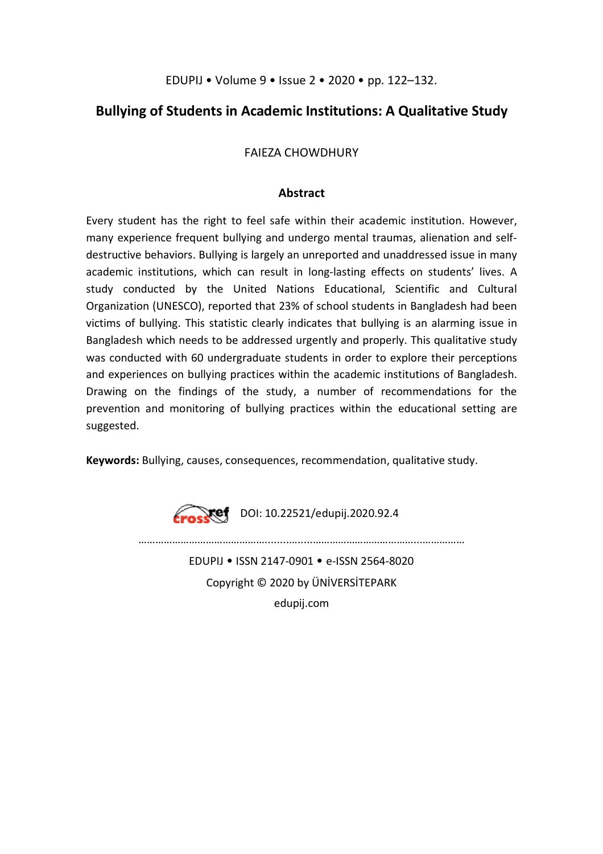# **Bullying of Students in Academic Institutions: A Qualitative Study**

FAIEZA CHOWDHURY

## **Abstract**

Every student has the right to feel safe within their academic institution. However, many experience frequent bullying and undergo mental traumas, alienation and selfdestructive behaviors. Bullying is largely an unreported and unaddressed issue in many academic institutions, which can result in long-lasting effects on students' lives. A study conducted by the United Nations Educational, Scientific and Cultural Organization (UNESCO), reported that 23% of school students in Bangladesh had been victims of bullying. This statistic clearly indicates that bullying is an alarming issue in Bangladesh which needs to be addressed urgently and properly. This qualitative study was conducted with 60 undergraduate students in order to explore their perceptions and experiences on bullying practices within the academic institutions of Bangladesh. Drawing on the findings of the study, a number of recommendations for the prevention and monitoring of bullying practices within the educational setting are suggested.

**Keywords:** Bullying, causes, consequences, recommendation, qualitative study.

**Crosset** DOI: 10.22521/edupij.2020.92.4

………………………………………........….....………………………………...…………… EDUPIJ • ISSN 2147-0901 • e-ISSN 2564-8020

Copyright © 2020 by ÜNİVERSİTEPARK

edupij.com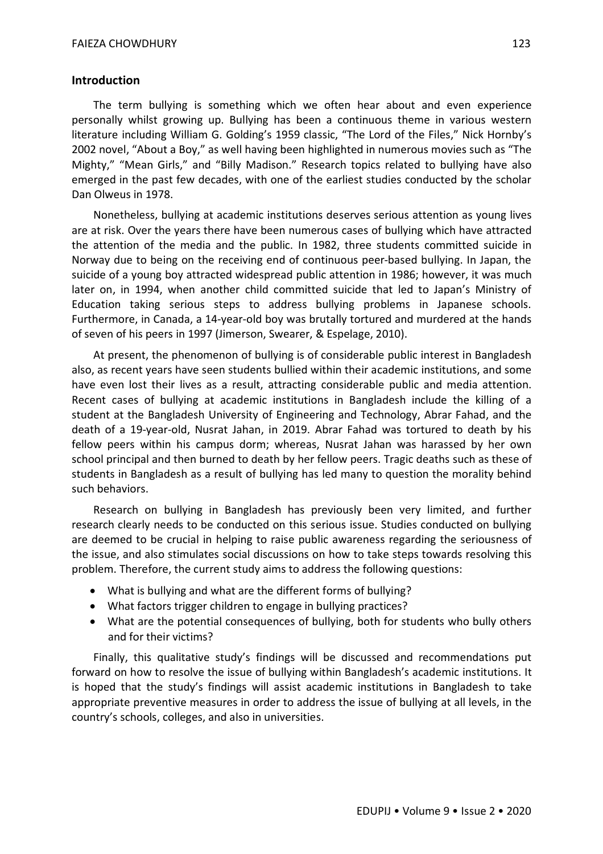## **Introduction**

The term bullying is something which we often hear about and even experience personally whilst growing up. Bullying has been a continuous theme in various western literature including William G. Golding's 1959 classic, "The Lord of the Files," Nick Hornby's 2002 novel, "About a Boy," as well having been highlighted in numerous movies such as "The Mighty," "Mean Girls," and "Billy Madison." Research topics related to bullying have also emerged in the past few decades, with one of the earliest studies conducted by the scholar Dan Olweus in 1978.

Nonetheless, bullying at academic institutions deserves serious attention as young lives are at risk. Over the years there have been numerous cases of bullying which have attracted the attention of the media and the public. In 1982, three students committed suicide in Norway due to being on the receiving end of continuous peer-based bullying. In Japan, the suicide of a young boy attracted widespread public attention in 1986; however, it was much later on, in 1994, when another child committed suicide that led to Japan's Ministry of Education taking serious steps to address bullying problems in Japanese schools. Furthermore, in Canada, a 14-year-old boy was brutally tortured and murdered at the hands of seven of his peers in 1997 (Jimerson, Swearer, & Espelage, 2010).

At present, the phenomenon of bullying is of considerable public interest in Bangladesh also, as recent years have seen students bullied within their academic institutions, and some have even lost their lives as a result, attracting considerable public and media attention. Recent cases of bullying at academic institutions in Bangladesh include the killing of a student at the Bangladesh University of Engineering and Technology, Abrar Fahad, and the death of a 19-year-old, Nusrat Jahan, in 2019. Abrar Fahad was tortured to death by his fellow peers within his campus dorm; whereas, Nusrat Jahan was harassed by her own school principal and then burned to death by her fellow peers. Tragic deaths such as these of students in Bangladesh as a result of bullying has led many to question the morality behind such behaviors.

Research on bullying in Bangladesh has previously been very limited, and further research clearly needs to be conducted on this serious issue. Studies conducted on bullying are deemed to be crucial in helping to raise public awareness regarding the seriousness of the issue, and also stimulates social discussions on how to take steps towards resolving this problem. Therefore, the current study aims to address the following questions:

- What is bullying and what are the different forms of bullying?
- What factors trigger children to engage in bullying practices?
- What are the potential consequences of bullying, both for students who bully others and for their victims?

Finally, this qualitative study's findings will be discussed and recommendations put forward on how to resolve the issue of bullying within Bangladesh's academic institutions. It is hoped that the study's findings will assist academic institutions in Bangladesh to take appropriate preventive measures in order to address the issue of bullying at all levels, in the country's schools, colleges, and also in universities.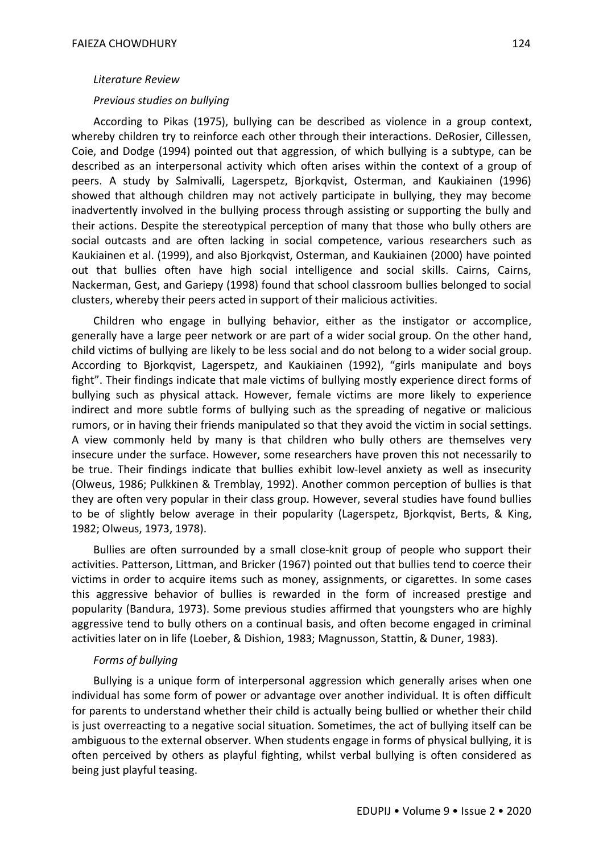#### *Literature Review*

#### *Previous studies on bullying*

According to Pikas (1975), bullying can be described as violence in a group context, whereby children try to reinforce each other through their interactions. DeRosier, Cillessen, Coie, and Dodge (1994) pointed out that aggression, of which bullying is a subtype, can be described as an interpersonal activity which often arises within the context of a group of peers. A study by Salmivalli, Lagerspetz, Bjorkqvist, Osterman, and Kaukiainen (1996) showed that although children may not actively participate in bullying, they may become inadvertently involved in the bullying process through assisting or supporting the bully and their actions. Despite the stereotypical perception of many that those who bully others are social outcasts and are often lacking in social competence, various researchers such as Kaukiainen et al. (1999), and also Bjorkqvist, Osterman, and Kaukiainen (2000) have pointed out that bullies often have high social intelligence and social skills. Cairns, Cairns, Nackerman, Gest, and Gariepy (1998) found that school classroom bullies belonged to social clusters, whereby their peers acted in support of their malicious activities.

Children who engage in bullying behavior, either as the instigator or accomplice, generally have a large peer network or are part of a wider social group. On the other hand, child victims of bullying are likely to be less social and do not belong to a wider social group. According to Bjorkqvist, Lagerspetz, and Kaukiainen (1992), "girls manipulate and boys fight". Their findings indicate that male victims of bullying mostly experience direct forms of bullying such as physical attack. However, female victims are more likely to experience indirect and more subtle forms of bullying such as the spreading of negative or malicious rumors, or in having their friends manipulated so that they avoid the victim in social settings. A view commonly held by many is that children who bully others are themselves very insecure under the surface. However, some researchers have proven this not necessarily to be true. Their findings indicate that bullies exhibit low-level anxiety as well as insecurity (Olweus, 1986; Pulkkinen & Tremblay, 1992). Another common perception of bullies is that they are often very popular in their class group. However, several studies have found bullies to be of slightly below average in their popularity (Lagerspetz, Bjorkqvist, Berts, & King, 1982; Olweus, 1973, 1978).

Bullies are often surrounded by a small close-knit group of people who support their activities. Patterson, Littman, and Bricker (1967) pointed out that bullies tend to coerce their victims in order to acquire items such as money, assignments, or cigarettes. In some cases this aggressive behavior of bullies is rewarded in the form of increased prestige and popularity (Bandura, 1973). Some previous studies affirmed that youngsters who are highly aggressive tend to bully others on a continual basis, and often become engaged in criminal activities later on in life (Loeber, & Dishion, 1983; Magnusson, Stattin, & Duner, 1983).

#### *Forms of bullying*

Bullying is a unique form of interpersonal aggression which generally arises when one individual has some form of power or advantage over another individual. It is often difficult for parents to understand whether their child is actually being bullied or whether their child is just overreacting to a negative social situation. Sometimes, the act of bullying itself can be ambiguous to the external observer. When students engage in forms of physical bullying, it is often perceived by others as playful fighting, whilst verbal bullying is often considered as being just playful teasing.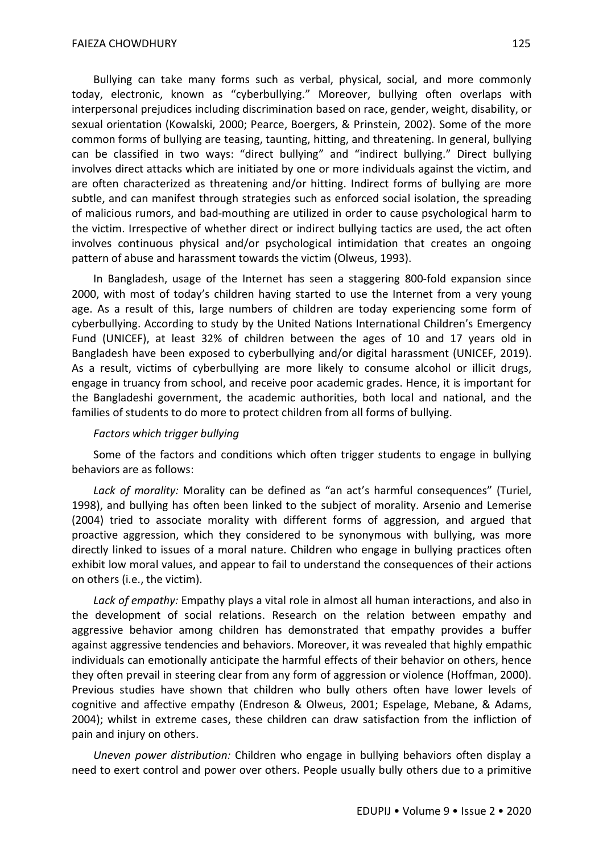Bullying can take many forms such as verbal, physical, social, and more commonly today, electronic, known as "cyberbullying." Moreover, bullying often overlaps with interpersonal prejudices including discrimination based on race, gender, weight, disability, or sexual orientation (Kowalski, 2000; Pearce, Boergers, & Prinstein, 2002). Some of the more common forms of bullying are teasing, taunting, hitting, and threatening. In general, bullying can be classified in two ways: "direct bullying" and "indirect bullying." Direct bullying involves direct attacks which are initiated by one or more individuals against the victim, and are often characterized as threatening and/or hitting. Indirect forms of bullying are more subtle, and can manifest through strategies such as enforced social isolation, the spreading of malicious rumors, and bad-mouthing are utilized in order to cause psychological harm to the victim. Irrespective of whether direct or indirect bullying tactics are used, the act often involves continuous physical and/or psychological intimidation that creates an ongoing pattern of abuse and harassment towards the victim (Olweus, 1993).

In Bangladesh, usage of the Internet has seen a staggering 800-fold expansion since 2000, with most of today's children having started to use the Internet from a very young age. As a result of this, large numbers of children are today experiencing some form of cyberbullying. According to study by the United Nations International Children's Emergency Fund (UNICEF), at least 32% of children between the ages of 10 and 17 years old in Bangladesh have been exposed to cyberbullying and/or digital harassment (UNICEF, 2019). As a result, victims of cyberbullying are more likely to consume alcohol or illicit drugs, engage in truancy from school, and receive poor academic grades. Hence, it is important for the Bangladeshi government, the academic authorities, both local and national, and the families of students to do more to protect children from all forms of bullying.

### *Factors which trigger bullying*

Some of the factors and conditions which often trigger students to engage in bullying behaviors are as follows:

*Lack of morality:* Morality can be defined as "an act's harmful consequences" (Turiel, 1998), and bullying has often been linked to the subject of morality. Arsenio and Lemerise (2004) tried to associate morality with different forms of aggression, and argued that proactive aggression, which they considered to be synonymous with bullying, was more directly linked to issues of a moral nature. Children who engage in bullying practices often exhibit low moral values, and appear to fail to understand the consequences of their actions on others (i.e., the victim).

*Lack of empathy:* Empathy plays a vital role in almost all human interactions, and also in the development of social relations. Research on the relation between empathy and aggressive behavior among children has demonstrated that empathy provides a buffer against aggressive tendencies and behaviors. Moreover, it was revealed that highly empathic individuals can emotionally anticipate the harmful effects of their behavior on others, hence they often prevail in steering clear from any form of aggression or violence (Hoffman, 2000). Previous studies have shown that children who bully others often have lower levels of cognitive and affective empathy (Endreson & Olweus, 2001; Espelage, Mebane, & Adams, 2004); whilst in extreme cases, these children can draw satisfaction from the infliction of pain and injury on others.

*Uneven power distribution:* Children who engage in bullying behaviors often display a need to exert control and power over others. People usually bully others due to a primitive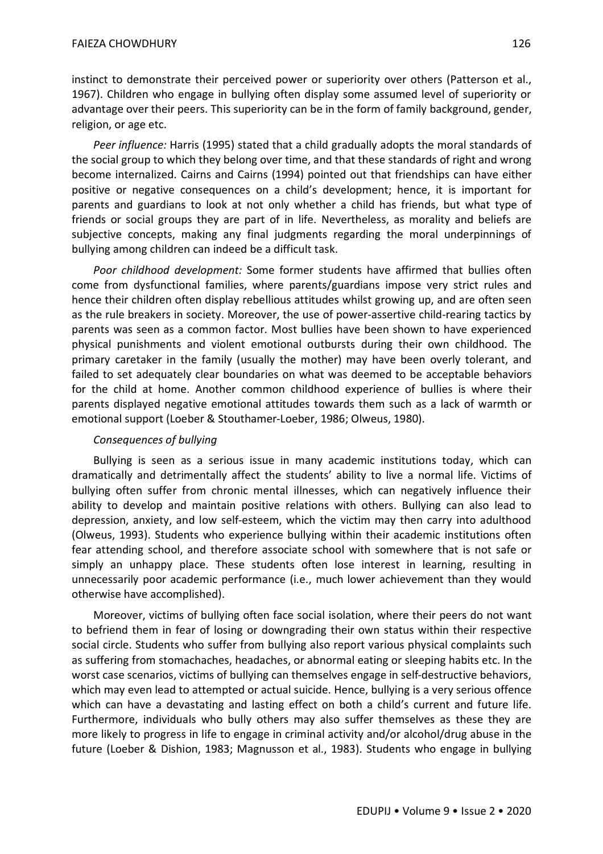instinct to demonstrate their perceived power or superiority over others (Patterson et al., 1967). Children who engage in bullying often display some assumed level of superiority or advantage over their peers. This superiority can be in the form of family background, gender, religion, or age etc.

*Peer influence:* Harris (1995) stated that a child gradually adopts the moral standards of the social group to which they belong over time, and that these standards of right and wrong become internalized. Cairns and Cairns (1994) pointed out that friendships can have either positive or negative consequences on a child's development; hence, it is important for parents and guardians to look at not only whether a child has friends, but what type of friends or social groups they are part of in life. Nevertheless, as morality and beliefs are subjective concepts, making any final judgments regarding the moral underpinnings of bullying among children can indeed be a difficult task.

*Poor childhood development:* Some former students have affirmed that bullies often come from dysfunctional families, where parents/guardians impose very strict rules and hence their children often display rebellious attitudes whilst growing up, and are often seen as the rule breakers in society. Moreover, the use of power-assertive child-rearing tactics by parents was seen as a common factor. Most bullies have been shown to have experienced physical punishments and violent emotional outbursts during their own childhood. The primary caretaker in the family (usually the mother) may have been overly tolerant, and failed to set adequately clear boundaries on what was deemed to be acceptable behaviors for the child at home. Another common childhood experience of bullies is where their parents displayed negative emotional attitudes towards them such as a lack of warmth or emotional support (Loeber & Stouthamer-Loeber, 1986; Olweus, 1980).

## *Consequences of bullying*

Bullying is seen as a serious issue in many academic institutions today, which can dramatically and detrimentally affect the students' ability to live a normal life. Victims of bullying often suffer from chronic mental illnesses, which can negatively influence their ability to develop and maintain positive relations with others. Bullying can also lead to depression, anxiety, and low self-esteem, which the victim may then carry into adulthood (Olweus, 1993). Students who experience bullying within their academic institutions often fear attending school, and therefore associate school with somewhere that is not safe or simply an unhappy place. These students often lose interest in learning, resulting in unnecessarily poor academic performance (i.e., much lower achievement than they would otherwise have accomplished).

Moreover, victims of bullying often face social isolation, where their peers do not want to befriend them in fear of losing or downgrading their own status within their respective social circle. Students who suffer from bullying also report various physical complaints such as suffering from stomachaches, headaches, or abnormal eating or sleeping habits etc. In the worst case scenarios, victims of bullying can themselves engage in self-destructive behaviors, which may even lead to attempted or actual suicide. Hence, bullying is a very serious offence which can have a devastating and lasting effect on both a child's current and future life. Furthermore, individuals who bully others may also suffer themselves as these they are more likely to progress in life to engage in criminal activity and/or alcohol/drug abuse in the future (Loeber & Dishion, 1983; Magnusson et al., 1983). Students who engage in bullying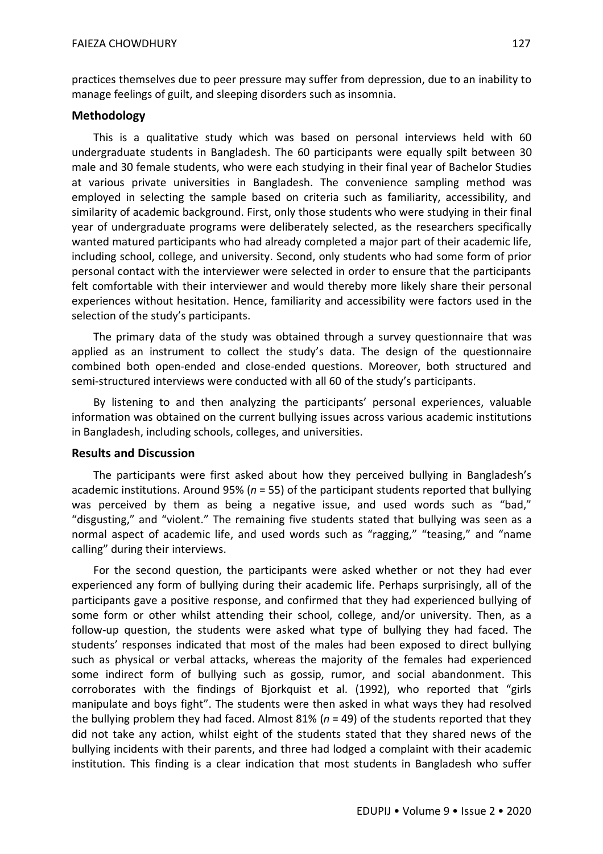practices themselves due to peer pressure may suffer from depression, due to an inability to manage feelings of guilt, and sleeping disorders such as insomnia.

## **Methodology**

This is a qualitative study which was based on personal interviews held with 60 undergraduate students in Bangladesh. The 60 participants were equally spilt between 30 male and 30 female students, who were each studying in their final year of Bachelor Studies at various private universities in Bangladesh. The convenience sampling method was employed in selecting the sample based on criteria such as familiarity, accessibility, and similarity of academic background. First, only those students who were studying in their final year of undergraduate programs were deliberately selected, as the researchers specifically wanted matured participants who had already completed a major part of their academic life, including school, college, and university. Second, only students who had some form of prior personal contact with the interviewer were selected in order to ensure that the participants felt comfortable with their interviewer and would thereby more likely share their personal experiences without hesitation. Hence, familiarity and accessibility were factors used in the selection of the study's participants.

The primary data of the study was obtained through a survey questionnaire that was applied as an instrument to collect the study's data. The design of the questionnaire combined both open-ended and close-ended questions. Moreover, both structured and semi-structured interviews were conducted with all 60 of the study's participants.

By listening to and then analyzing the participants' personal experiences, valuable information was obtained on the current bullying issues across various academic institutions in Bangladesh, including schools, colleges, and universities.

### **Results and Discussion**

The participants were first asked about how they perceived bullying in Bangladesh's academic institutions. Around 95% (*n* = 55) of the participant students reported that bullying was perceived by them as being a negative issue, and used words such as "bad," "disgusting," and "violent." The remaining five students stated that bullying was seen as a normal aspect of academic life, and used words such as "ragging," "teasing," and "name calling" during their interviews.

For the second question, the participants were asked whether or not they had ever experienced any form of bullying during their academic life. Perhaps surprisingly, all of the participants gave a positive response, and confirmed that they had experienced bullying of some form or other whilst attending their school, college, and/or university. Then, as a follow-up question, the students were asked what type of bullying they had faced. The students' responses indicated that most of the males had been exposed to direct bullying such as physical or verbal attacks, whereas the majority of the females had experienced some indirect form of bullying such as gossip, rumor, and social abandonment. This corroborates with the findings of Bjorkquist et al. (1992), who reported that "girls manipulate and boys fight". The students were then asked in what ways they had resolved the bullying problem they had faced. Almost 81% (*n* = 49) of the students reported that they did not take any action, whilst eight of the students stated that they shared news of the bullying incidents with their parents, and three had lodged a complaint with their academic institution. This finding is a clear indication that most students in Bangladesh who suffer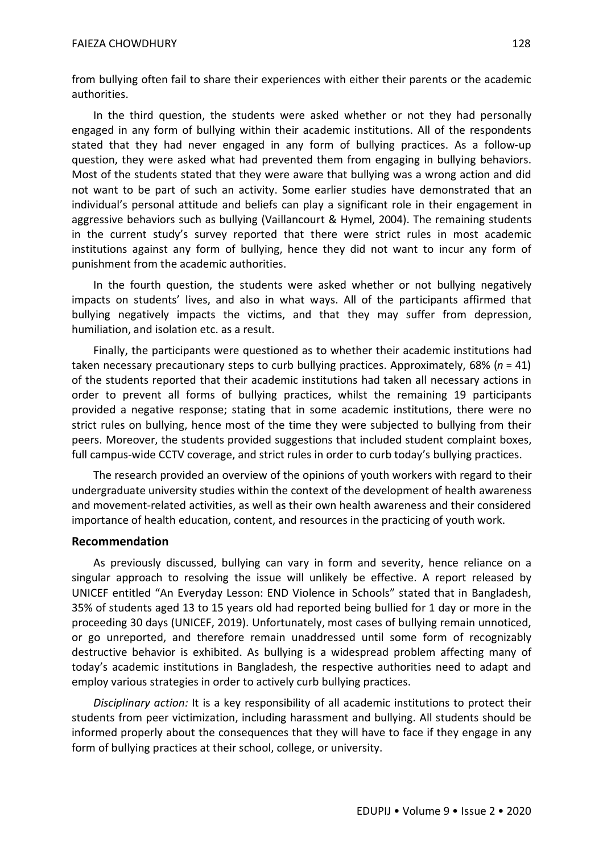from bullying often fail to share their experiences with either their parents or the academic authorities.

In the third question, the students were asked whether or not they had personally engaged in any form of bullying within their academic institutions. All of the respondents stated that they had never engaged in any form of bullying practices. As a follow-up question, they were asked what had prevented them from engaging in bullying behaviors. Most of the students stated that they were aware that bullying was a wrong action and did not want to be part of such an activity. Some earlier studies have demonstrated that an individual's personal attitude and beliefs can play a significant role in their engagement in aggressive behaviors such as bullying (Vaillancourt & Hymel, 2004). The remaining students in the current study's survey reported that there were strict rules in most academic institutions against any form of bullying, hence they did not want to incur any form of punishment from the academic authorities.

In the fourth question, the students were asked whether or not bullying negatively impacts on students' lives, and also in what ways. All of the participants affirmed that bullying negatively impacts the victims, and that they may suffer from depression, humiliation, and isolation etc. as a result.

Finally, the participants were questioned as to whether their academic institutions had taken necessary precautionary steps to curb bullying practices. Approximately, 68% (*n* = 41) of the students reported that their academic institutions had taken all necessary actions in order to prevent all forms of bullying practices, whilst the remaining 19 participants provided a negative response; stating that in some academic institutions, there were no strict rules on bullying, hence most of the time they were subjected to bullying from their peers. Moreover, the students provided suggestions that included student complaint boxes, full campus-wide CCTV coverage, and strict rules in order to curb today's bullying practices.

The research provided an overview of the opinions of youth workers with regard to their undergraduate university studies within the context of the development of health awareness and movement-related activities, as well as their own health awareness and their considered importance of health education, content, and resources in the practicing of youth work.

## **Recommendation**

As previously discussed, bullying can vary in form and severity, hence reliance on a singular approach to resolving the issue will unlikely be effective. A report released by UNICEF entitled "An Everyday Lesson: END Violence in Schools" stated that in Bangladesh, 35% of students aged 13 to 15 years old had reported being bullied for 1 day or more in the proceeding 30 days (UNICEF, 2019). Unfortunately, most cases of bullying remain unnoticed, or go unreported, and therefore remain unaddressed until some form of recognizably destructive behavior is exhibited. As bullying is a widespread problem affecting many of today's academic institutions in Bangladesh, the respective authorities need to adapt and employ various strategies in order to actively curb bullying practices.

*Disciplinary action:* It is a key responsibility of all academic institutions to protect their students from peer victimization, including harassment and bullying. All students should be informed properly about the consequences that they will have to face if they engage in any form of bullying practices at their school, college, or university.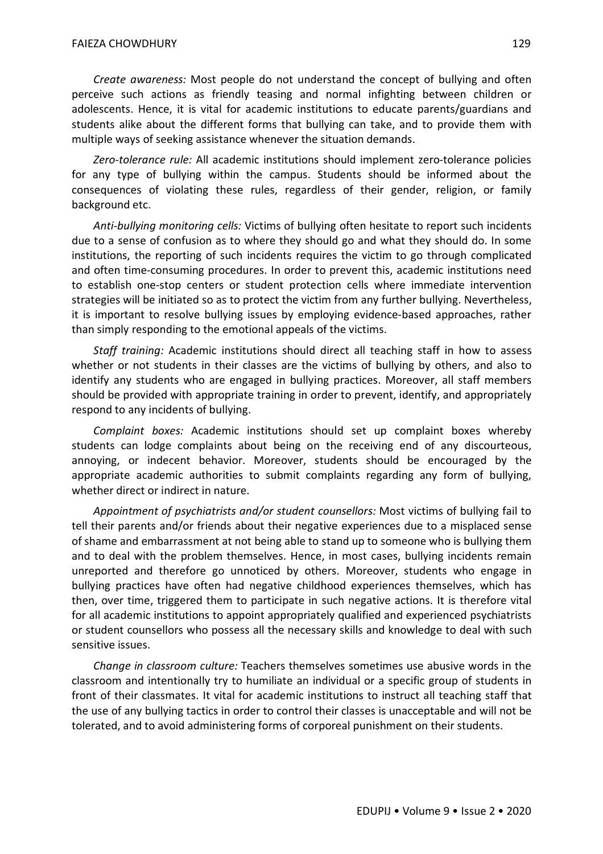*Create awareness:* Most people do not understand the concept of bullying and often perceive such actions as friendly teasing and normal infighting between children or adolescents. Hence, it is vital for academic institutions to educate parents/guardians and students alike about the different forms that bullying can take, and to provide them with multiple ways of seeking assistance whenever the situation demands.

*Zero-tolerance rule:* All academic institutions should implement zero-tolerance policies for any type of bullying within the campus. Students should be informed about the consequences of violating these rules, regardless of their gender, religion, or family background etc.

*Anti-bullying monitoring cells:* Victims of bullying often hesitate to report such incidents due to a sense of confusion as to where they should go and what they should do. In some institutions, the reporting of such incidents requires the victim to go through complicated and often time-consuming procedures. In order to prevent this, academic institutions need to establish one-stop centers or student protection cells where immediate intervention strategies will be initiated so as to protect the victim from any further bullying. Nevertheless, it is important to resolve bullying issues by employing evidence-based approaches, rather than simply responding to the emotional appeals of the victims.

*Staff training:* Academic institutions should direct all teaching staff in how to assess whether or not students in their classes are the victims of bullying by others, and also to identify any students who are engaged in bullying practices. Moreover, all staff members should be provided with appropriate training in order to prevent, identify, and appropriately respond to any incidents of bullying.

*Complaint boxes:* Academic institutions should set up complaint boxes whereby students can lodge complaints about being on the receiving end of any discourteous, annoying, or indecent behavior. Moreover, students should be encouraged by the appropriate academic authorities to submit complaints regarding any form of bullying, whether direct or indirect in nature.

*Appointment of psychiatrists and/or student counsellors:* Most victims of bullying fail to tell their parents and/or friends about their negative experiences due to a misplaced sense of shame and embarrassment at not being able to stand up to someone who is bullying them and to deal with the problem themselves. Hence, in most cases, bullying incidents remain unreported and therefore go unnoticed by others. Moreover, students who engage in bullying practices have often had negative childhood experiences themselves, which has then, over time, triggered them to participate in such negative actions. It is therefore vital for all academic institutions to appoint appropriately qualified and experienced psychiatrists or student counsellors who possess all the necessary skills and knowledge to deal with such sensitive issues.

*Change in classroom culture:* Teachers themselves sometimes use abusive words in the classroom and intentionally try to humiliate an individual or a specific group of students in front of their classmates. It vital for academic institutions to instruct all teaching staff that the use of any bullying tactics in order to control their classes is unacceptable and will not be tolerated, and to avoid administering forms of corporeal punishment on their students.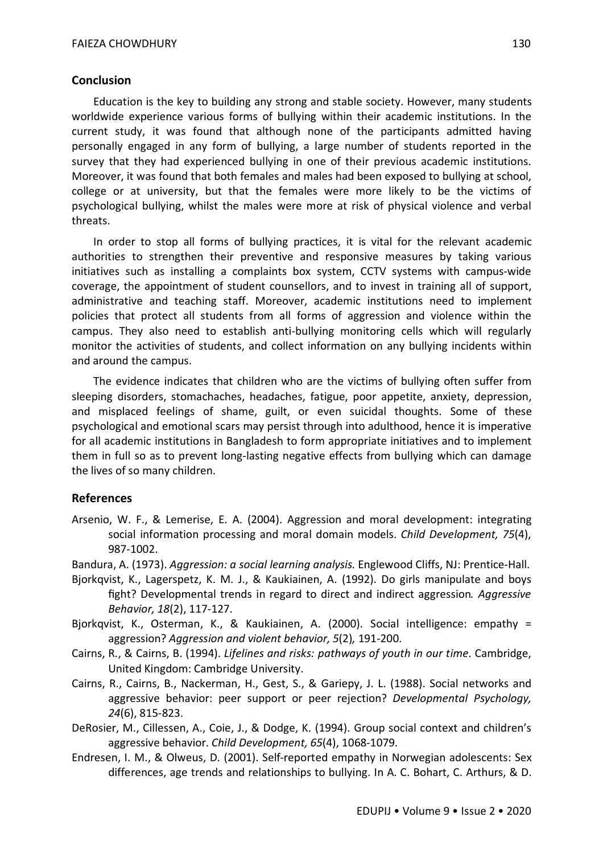### **Conclusion**

Education is the key to building any strong and stable society. However, many students worldwide experience various forms of bullying within their academic institutions. In the current study, it was found that although none of the participants admitted having personally engaged in any form of bullying, a large number of students reported in the survey that they had experienced bullying in one of their previous academic institutions. Moreover, it was found that both females and males had been exposed to bullying at school, college or at university, but that the females were more likely to be the victims of psychological bullying, whilst the males were more at risk of physical violence and verbal threats.

In order to stop all forms of bullying practices, it is vital for the relevant academic authorities to strengthen their preventive and responsive measures by taking various initiatives such as installing a complaints box system, CCTV systems with campus-wide coverage, the appointment of student counsellors, and to invest in training all of support, administrative and teaching staff. Moreover, academic institutions need to implement policies that protect all students from all forms of aggression and violence within the campus. They also need to establish anti-bullying monitoring cells which will regularly monitor the activities of students, and collect information on any bullying incidents within and around the campus.

The evidence indicates that children who are the victims of bullying often suffer from sleeping disorders, stomachaches, headaches, fatigue, poor appetite, anxiety, depression, and misplaced feelings of shame, guilt, or even suicidal thoughts. Some of these psychological and emotional scars may persist through into adulthood, hence it is imperative for all academic institutions in Bangladesh to form appropriate initiatives and to implement them in full so as to prevent long-lasting negative effects from bullying which can damage the lives of so many children.

### **References**

- Arsenio, W. F., & Lemerise, E. A. (2004). Aggression and moral development: integrating social information processing and moral domain models. *Child Development, 75*(4), 987-1002.
- Bandura, A. (1973). *Aggression: a social learning analysis.* Englewood Cliffs, NJ: Prentice-Hall.
- Bjorkqvist, K., Lagerspetz, K. M. J., & Kaukiainen, A. (1992). Do girls manipulate and boys fight? Developmental trends in regard to direct and indirect aggression*. Aggressive Behavior, 18*(2), 117-127.
- Bjorkqvist, K., Osterman, K., & Kaukiainen, A. (2000). Social intelligence: empathy = aggression? *Aggression and violent behavior, 5*(2)*,* 191-200.
- Cairns, R., & Cairns, B. (1994). *Lifelines and risks: pathways of youth in our time*. Cambridge, United Kingdom: Cambridge University.
- Cairns, R., Cairns, B., Nackerman, H., Gest, S., & Gariepy, J. L. (1988). Social networks and aggressive behavior: peer support or peer rejection? *Developmental Psychology, 24*(6), 815-823.
- DeRosier, M., Cillessen, A., Coie, J., & Dodge, K. (1994). Group social context and children's aggressive behavior. *Child Development, 65*(4), 1068-1079.
- Endresen, I. M., & Olweus, D. (2001). Self-reported empathy in Norwegian adolescents: Sex differences, age trends and relationships to bullying. In A. C. Bohart, C. Arthurs, & D.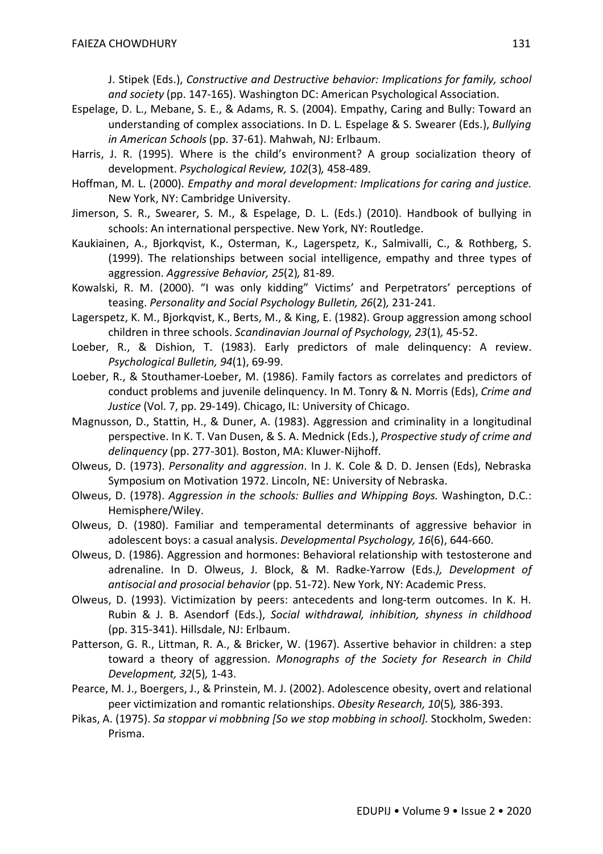J. Stipek (Eds.), *Constructive and Destructive behavior: Implications for family, school and society* (pp. 147-165). Washington DC: American Psychological Association.

- Espelage, D. L., Mebane, S. E., & Adams, R. S. (2004). Empathy, Caring and Bully: Toward an understanding of complex associations. In D. L. Espelage & S. Swearer (Eds.), *Bullying in American Schools* (pp. 37-61). Mahwah, NJ: Erlbaum.
- Harris, J. R. (1995). Where is the child's environment? A group socialization theory of development. *Psychological Review, 102*(3)*,* 458-489.
- Hoffman, M. L. (2000). *Empathy and moral development: Implications for caring and justice.* New York, NY: Cambridge University.
- Jimerson, S. R., Swearer, S. M., & Espelage, D. L. (Eds.) (2010). Handbook of bullying in schools: An international perspective. New York, NY: Routledge.
- Kaukiainen, A., Bjorkqvist, K., Osterman, K., Lagerspetz, K., Salmivalli, C., & Rothberg, S. (1999). The relationships between social intelligence, empathy and three types of aggression. *Aggressive Behavior, 25*(2)*,* 81-89.
- Kowalski, R. M. (2000). "I was only kidding" Victims' and Perpetrators' perceptions of teasing. *Personality and Social Psychology Bulletin, 26*(2)*,* 231-241.
- Lagerspetz, K. M., Bjorkqvist, K., Berts, M., & King, E. (1982). Group aggression among school children in three schools. *Scandinavian Journal of Psychology, 23*(1)*,* 45-52.
- Loeber, R., & Dishion, T. (1983). Early predictors of male delinquency: A review. *Psychological Bulletin, 94*(1), 69-99.
- Loeber, R., & Stouthamer-Loeber, M. (1986). Family factors as correlates and predictors of conduct problems and juvenile delinquency. In M. Tonry & N. Morris (Eds), *Crime and Justice* (Vol. 7, pp. 29-149). Chicago, IL: University of Chicago.
- Magnusson, D., Stattin, H., & Duner, A. (1983). Aggression and criminality in a longitudinal perspective. In K. T. Van Dusen, & S. A. Mednick (Eds.), *Prospective study of crime and delinquency* (pp. 277-301)*.* Boston, MA: Kluwer-Nijhoff.
- Olweus, D. (1973). *Personality and aggression*. In J. K. Cole & D. D. Jensen (Eds), Nebraska Symposium on Motivation 1972. Lincoln, NE: University of Nebraska.
- Olweus, D. (1978). *Aggression in the schools: Bullies and Whipping Boys.* Washington, D.C.: Hemisphere/Wiley.
- Olweus, D. (1980). Familiar and temperamental determinants of aggressive behavior in adolescent boys: a casual analysis. *Developmental Psychology, 16*(6), 644-660.
- Olweus, D. (1986). Aggression and hormones: Behavioral relationship with testosterone and adrenaline. In D. Olweus, J. Block, & M. Radke-Yarrow (Eds.*), Development of antisocial and prosocial behavior* (pp. 51-72). New York, NY: Academic Press.
- Olweus, D. (1993). Victimization by peers: antecedents and long-term outcomes. In K. H. Rubin & J. B. Asendorf (Eds.), *Social withdrawal, inhibition, shyness in childhood*  (pp. 315-341). Hillsdale, NJ: Erlbaum.
- Patterson, G. R., Littman, R. A., & Bricker, W. (1967). Assertive behavior in children: a step toward a theory of aggression. *Monographs of the Society for Research in Child Development, 32*(5)*,* 1-43.
- Pearce, M. J., Boergers, J., & Prinstein, M. J. (2002). Adolescence obesity, overt and relational peer victimization and romantic relationships. *Obesity Research, 10*(5)*,* 386-393.
- Pikas, A. (1975). *Sa stoppar vi mobbning [So we stop mobbing in school].* Stockholm, Sweden: Prisma.